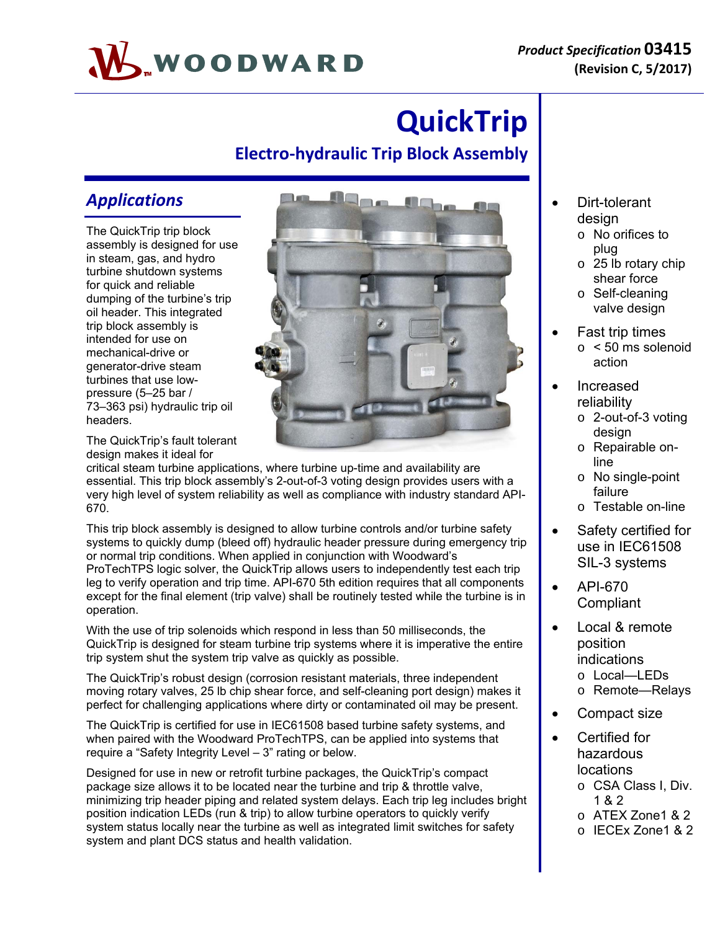# WOODWARD

## **QuickTrip**

#### **Electro‐hydraulic Trip Block Assembly**

#### *Applications*

The QuickTrip trip block assembly is designed for use in steam, gas, and hydro turbine shutdown systems for quick and reliable dumping of the turbine's trip oil header. This integrated trip block assembly is intended for use on mechanical-drive or generator-drive steam turbines that use lowpressure (5–25 bar / 73–363 psi) hydraulic trip oil headers.

The QuickTrip's fault tolerant design makes it ideal for

critical steam turbine applications, where turbine up-time and availability are essential. This trip block assembly's 2-out-of-3 voting design provides users with a very high level of system reliability as well as compliance with industry standard API-670.

This trip block assembly is designed to allow turbine controls and/or turbine safety systems to quickly dump (bleed off) hydraulic header pressure during emergency trip or normal trip conditions. When applied in conjunction with Woodward's ProTechTPS logic solver, the QuickTrip allows users to independently test each trip leg to verify operation and trip time. API-670 5th edition requires that all components except for the final element (trip valve) shall be routinely tested while the turbine is in operation.

With the use of trip solenoids which respond in less than 50 milliseconds, the QuickTrip is designed for steam turbine trip systems where it is imperative the entire trip system shut the system trip valve as quickly as possible.

The QuickTrip's robust design (corrosion resistant materials, three independent moving rotary valves, 25 lb chip shear force, and self-cleaning port design) makes it perfect for challenging applications where dirty or contaminated oil may be present.

The QuickTrip is certified for use in IEC61508 based turbine safety systems, and when paired with the Woodward ProTechTPS, can be applied into systems that require a "Safety Integrity Level – 3" rating or below.

Designed for use in new or retrofit turbine packages, the QuickTrip's compact package size allows it to be located near the turbine and trip & throttle valve, minimizing trip header piping and related system delays. Each trip leg includes bright position indication LEDs (run & trip) to allow turbine operators to quickly verify system status locally near the turbine as well as integrated limit switches for safety system and plant DCS status and health validation.

- Dirt-tolerant design
	- o No orifices to plug
	- o 25 lb rotary chip shear force
	- o Self-cleaning valve design
- Fast trip times  $\circ$  < 50 ms solenoid action
- Increased reliability
	- o 2-out-of-3 voting design
	- o Repairable online
	- o No single-point failure
	- o Testable on-line
- Safety certified for use in IEC61508 SIL-3 systems
- API-670 **Compliant**
- Local & remote position indications o Local—LEDs
	- o Remote—Relays
- Compact size
- Certified for hazardous locations
	- o CSA Class I, Div. 1 & 2
	- o ATEX Zone1 & 2
	- o IECEx Zone1 & 2

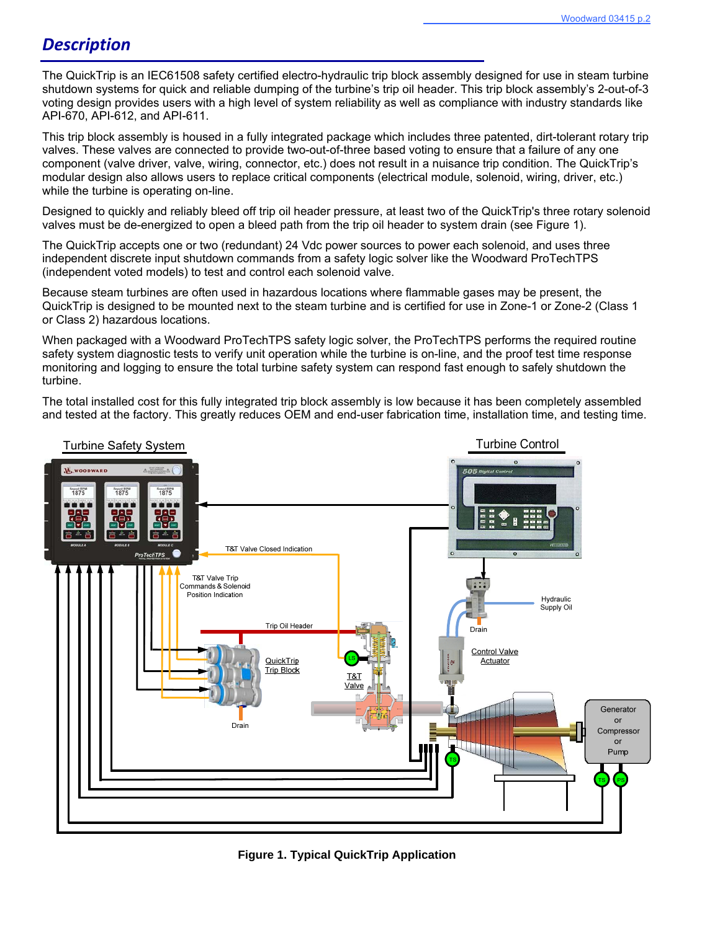#### *Description*

The QuickTrip is an IEC61508 safety certified electro-hydraulic trip block assembly designed for use in steam turbine shutdown systems for quick and reliable dumping of the turbine's trip oil header. This trip block assembly's 2-out-of-3 voting design provides users with a high level of system reliability as well as compliance with industry standards like API-670, API-612, and API-611.

This trip block assembly is housed in a fully integrated package which includes three patented, dirt-tolerant rotary trip valves. These valves are connected to provide two-out-of-three based voting to ensure that a failure of any one component (valve driver, valve, wiring, connector, etc.) does not result in a nuisance trip condition. The QuickTrip's modular design also allows users to replace critical components (electrical module, solenoid, wiring, driver, etc.) while the turbine is operating on-line.

Designed to quickly and reliably bleed off trip oil header pressure, at least two of the QuickTrip's three rotary solenoid valves must be de-energized to open a bleed path from the trip oil header to system drain (see Figure 1).

The QuickTrip accepts one or two (redundant) 24 Vdc power sources to power each solenoid, and uses three independent discrete input shutdown commands from a safety logic solver like the Woodward ProTechTPS (independent voted models) to test and control each solenoid valve.

Because steam turbines are often used in hazardous locations where flammable gases may be present, the QuickTrip is designed to be mounted next to the steam turbine and is certified for use in Zone-1 or Zone-2 (Class 1 or Class 2) hazardous locations.

When packaged with a Woodward ProTechTPS safety logic solver, the ProTechTPS performs the required routine safety system diagnostic tests to verify unit operation while the turbine is on-line, and the proof test time response monitoring and logging to ensure the total turbine safety system can respond fast enough to safely shutdown the turbine.

The total installed cost for this fully integrated trip block assembly is low because it has been completely assembled and tested at the factory. This greatly reduces OEM and end-user fabrication time, installation time, and testing time.



**Figure 1. Typical QuickTrip Application**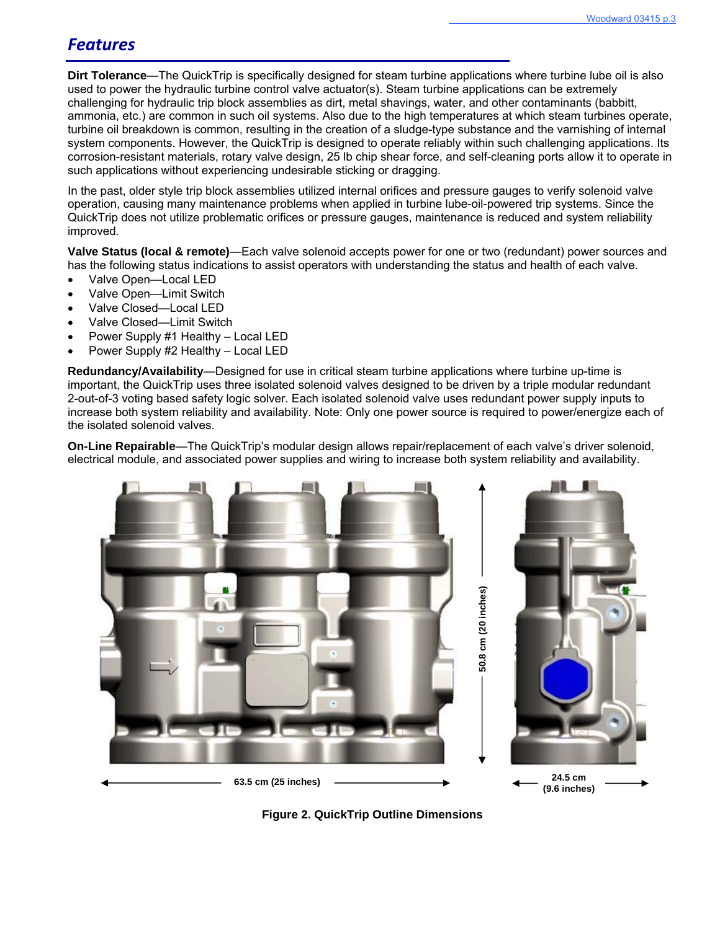#### *Features*

**Dirt Tolerance**—The QuickTrip is specifically designed for steam turbine applications where turbine lube oil is also used to power the hydraulic turbine control valve actuator(s). Steam turbine applications can be extremely challenging for hydraulic trip block assemblies as dirt, metal shavings, water, and other contaminants (babbitt, ammonia, etc.) are common in such oil systems. Also due to the high temperatures at which steam turbines operate, turbine oil breakdown is common, resulting in the creation of a sludge-type substance and the varnishing of internal system components. However, the QuickTrip is designed to operate reliably within such challenging applications. Its corrosion-resistant materials, rotary valve design, 25 lb chip shear force, and self-cleaning ports allow it to operate in such applications without experiencing undesirable sticking or dragging.

In the past, older style trip block assemblies utilized internal orifices and pressure gauges to verify solenoid valve operation, causing many maintenance problems when applied in turbine lube-oil-powered trip systems. Since the QuickTrip does not utilize problematic orifices or pressure gauges, maintenance is reduced and system reliability improved.

**Valve Status (local & remote)**—Each valve solenoid accepts power for one or two (redundant) power sources and has the following status indications to assist operators with understanding the status and health of each valve.

- Valve Open—Local LED
- Valve Open—Limit Switch
- Valve Closed—Local LED
- Valve Closed—Limit Switch
- Power Supply #1 Healthy Local LED
- Power Supply #2 Healthy Local LED

**Redundancy/Availability**—Designed for use in critical steam turbine applications where turbine up-time is important, the QuickTrip uses three isolated solenoid valves designed to be driven by a triple modular redundant 2-out-of-3 voting based safety logic solver. Each isolated solenoid valve uses redundant power supply inputs to increase both system reliability and availability. Note: Only one power source is required to power/energize each of the isolated solenoid valves.

**On-Line Repairable**—The QuickTrip's modular design allows repair/replacement of each valve's driver solenoid, electrical module, and associated power supplies and wiring to increase both system reliability and availability.





**Figure 2. QuickTrip Outline Dimensions**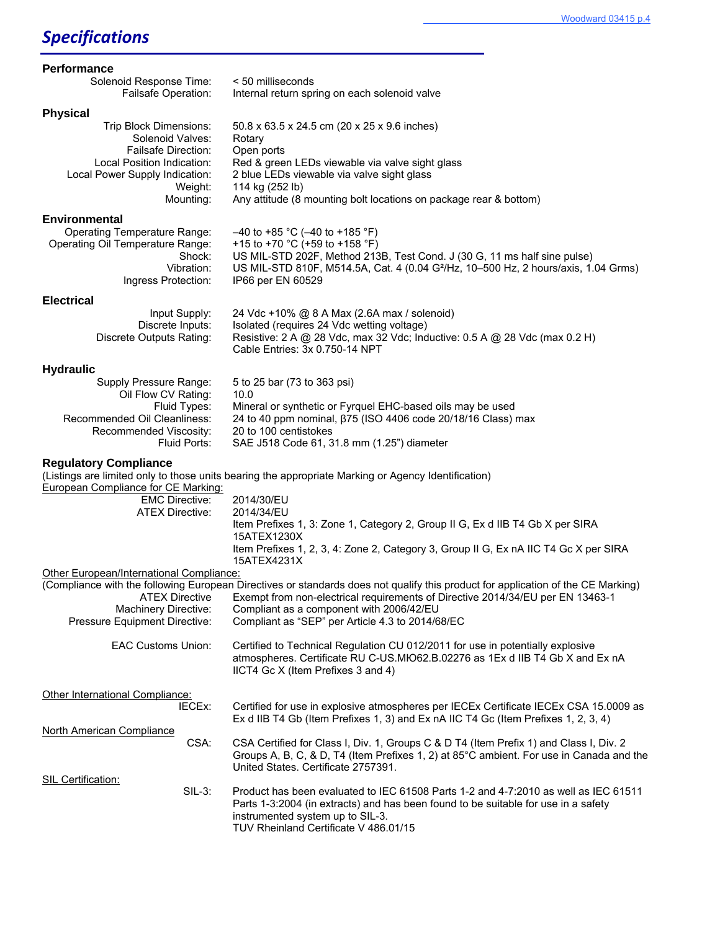#### Woodward 03415 p.4

### *Specifications*

| Performance                                                                                                                                                                       |                                                                                                                                                                                                                                                                          |
|-----------------------------------------------------------------------------------------------------------------------------------------------------------------------------------|--------------------------------------------------------------------------------------------------------------------------------------------------------------------------------------------------------------------------------------------------------------------------|
| Solenoid Response Time:<br>Failsafe Operation:                                                                                                                                    | < 50 milliseconds<br>Internal return spring on each solenoid valve                                                                                                                                                                                                       |
| <b>Physical</b>                                                                                                                                                                   |                                                                                                                                                                                                                                                                          |
| Trip Block Dimensions:<br>Solenoid Valves:<br><b>Failsafe Direction:</b><br>Local Position Indication:                                                                            | 50.8 x 63.5 x 24.5 cm (20 x 25 x 9.6 inches)<br>Rotary<br>Open ports                                                                                                                                                                                                     |
| Local Power Supply Indication:<br>Weight:<br>Mounting:                                                                                                                            | Red & green LEDs viewable via valve sight glass<br>2 blue LEDs viewable via valve sight glass<br>114 kg (252 lb)<br>Any attitude (8 mounting bolt locations on package rear & bottom)                                                                                    |
|                                                                                                                                                                                   |                                                                                                                                                                                                                                                                          |
| <b>Environmental</b>                                                                                                                                                              |                                                                                                                                                                                                                                                                          |
| <b>Operating Temperature Range:</b><br>Operating Oil Temperature Range:<br>Shock:<br>Vibration:<br>Ingress Protection:                                                            | $-40$ to +85 °C ( $-40$ to +185 °F)<br>+15 to +70 °C (+59 to +158 °F)<br>US MIL-STD 202F, Method 213B, Test Cond. J (30 G, 11 ms half sine pulse)<br>US MIL-STD 810F, M514.5A, Cat. 4 (0.04 G <sup>2</sup> /Hz, 10-500 Hz, 2 hours/axis, 1.04 Grms)<br>IP66 per EN 60529 |
| <b>Electrical</b>                                                                                                                                                                 |                                                                                                                                                                                                                                                                          |
| Input Supply:<br>Discrete Inputs:<br>Discrete Outputs Rating:                                                                                                                     | 24 Vdc +10% @ 8 A Max (2.6A max / solenoid)<br>Isolated (requires 24 Vdc wetting voltage)<br>Resistive: 2 A @ 28 Vdc, max 32 Vdc; Inductive: 0.5 A @ 28 Vdc (max 0.2 H)<br>Cable Entries: 3x 0.750-14 NPT                                                                |
| <b>Hydraulic</b>                                                                                                                                                                  |                                                                                                                                                                                                                                                                          |
| Supply Pressure Range:<br>Oil Flow CV Rating:                                                                                                                                     | 5 to 25 bar (73 to 363 psi)<br>10.0                                                                                                                                                                                                                                      |
| Fluid Types:<br>Recommended Oil Cleanliness:<br>Recommended Viscosity:<br>Fluid Ports:                                                                                            | Mineral or synthetic or Fyrquel EHC-based oils may be used<br>24 to 40 ppm nominal, β75 (ISO 4406 code 20/18/16 Class) max<br>20 to 100 centistokes<br>SAE J518 Code 61, 31.8 mm (1.25") diameter                                                                        |
| <b>Regulatory Compliance</b><br>(Listings are limited only to those units bearing the appropriate Marking or Agency Identification)<br><b>European Compliance for CE Marking:</b> |                                                                                                                                                                                                                                                                          |
| <b>EMC Directive:</b>                                                                                                                                                             | 2014/30/EU                                                                                                                                                                                                                                                               |
| <b>ATEX Directive:</b>                                                                                                                                                            | 2014/34/EU<br>Item Prefixes 1, 3: Zone 1, Category 2, Group II G, Ex d IIB T4 Gb X per SIRA<br>15ATEX1230X                                                                                                                                                               |
|                                                                                                                                                                                   | Item Prefixes 1, 2, 3, 4: Zone 2, Category 3, Group II G, Ex nA IIC T4 Gc X per SIRA<br>15ATEX4231X                                                                                                                                                                      |
| Other European/International Compliance:<br>(Compliance with the following European Directives or standards does not qualify this product for application of the CE Marking)      |                                                                                                                                                                                                                                                                          |
| <b>ATEX Directive</b><br>Machinery Directive:                                                                                                                                     | Exempt from non-electrical requirements of Directive 2014/34/EU per EN 13463-1<br>Compliant as a component with 2006/42/EU                                                                                                                                               |
| Pressure Equipment Directive:                                                                                                                                                     | Compliant as "SEP" per Article 4.3 to 2014/68/EC                                                                                                                                                                                                                         |
| <b>EAC Customs Union:</b>                                                                                                                                                         | Certified to Technical Regulation CU 012/2011 for use in potentially explosive<br>atmospheres. Certificate RU C-US.MIO62.B.02276 as 1Ex d IIB T4 Gb X and Ex nA<br>IICT4 Gc X (Item Prefixes 3 and 4)                                                                    |
| Other International Compliance:                                                                                                                                                   |                                                                                                                                                                                                                                                                          |
| IECEx:                                                                                                                                                                            | Certified for use in explosive atmospheres per IECEx Certificate IECEx CSA 15.0009 as<br>Ex d IIB T4 Gb (Item Prefixes 1, 3) and Ex nA IIC T4 Gc (Item Prefixes 1, 2, 3, 4)                                                                                              |
| North American Compliance<br>CSA:                                                                                                                                                 | CSA Certified for Class I, Div. 1, Groups C & D T4 (Item Prefix 1) and Class I, Div. 2<br>Groups A, B, C, & D, T4 (Item Prefixes 1, 2) at 85°C ambient. For use in Canada and the<br>United States. Certificate 2757391.                                                 |
| <b>SIL Certification:</b>                                                                                                                                                         |                                                                                                                                                                                                                                                                          |
| $SIL-3:$                                                                                                                                                                          | Product has been evaluated to IEC 61508 Parts 1-2 and 4-7:2010 as well as IEC 61511<br>Parts 1-3:2004 (in extracts) and has been found to be suitable for use in a safety<br>instrumented system up to SIL-3.<br>TUV Rheinland Certificate V 486.01/15                   |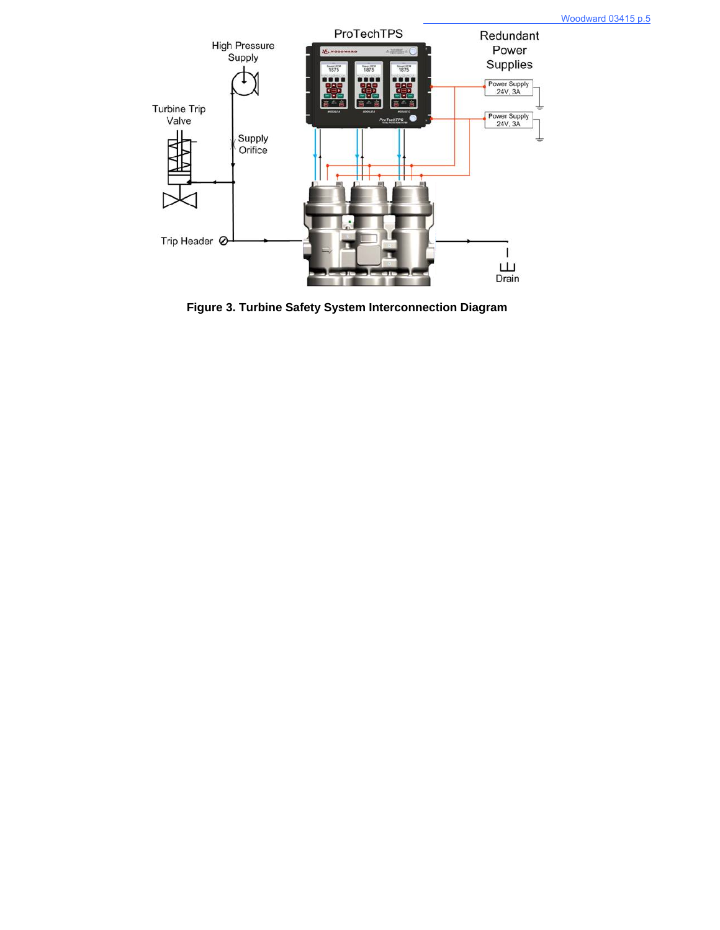

**Figure 3. Turbine Safety System Interconnection Diagram**